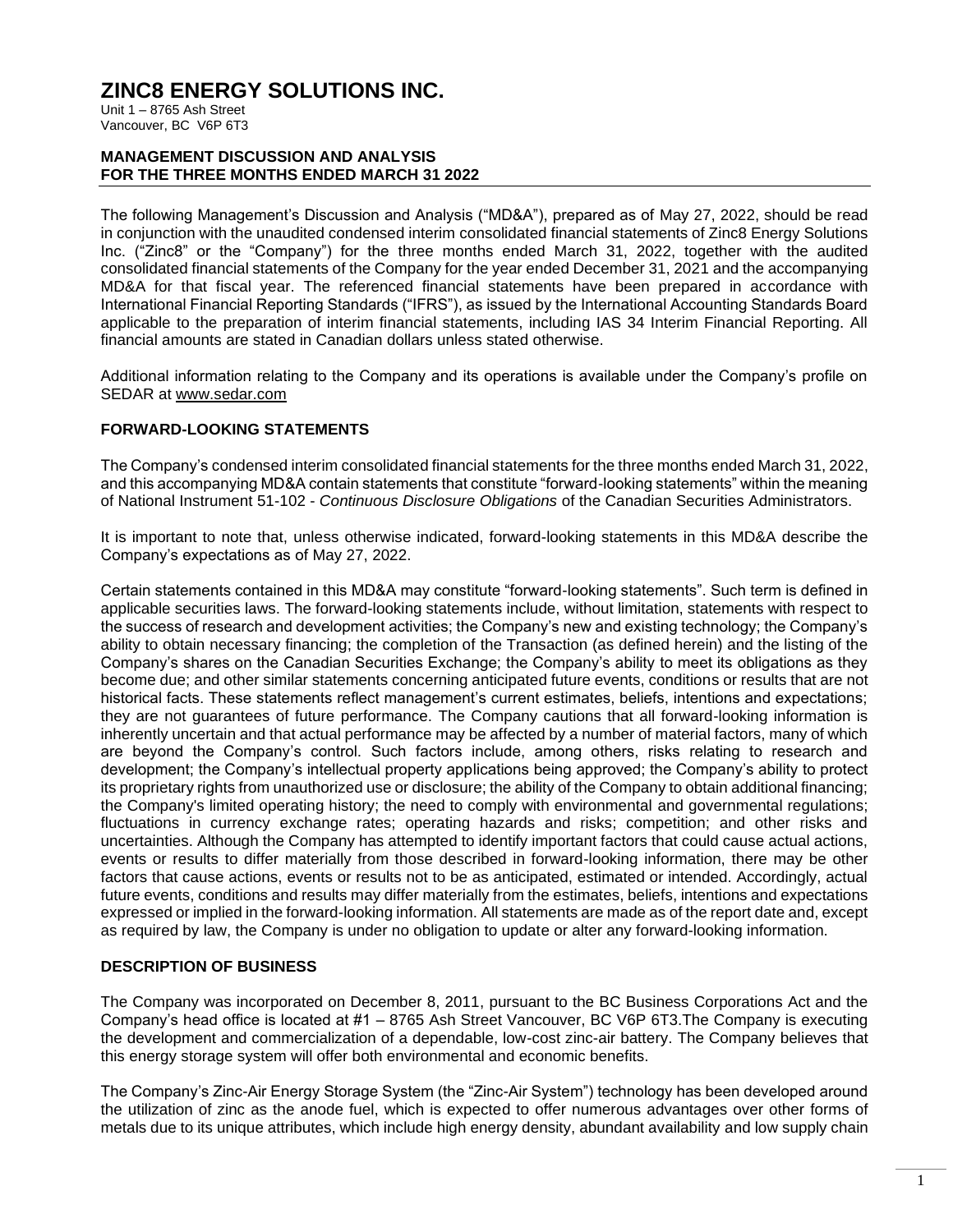Unit 1 – 8765 Ash Street Vancouver, BC V6P 6T3

#### **MANAGEMENT DISCUSSION AND ANALYSIS FOR THE THREE MONTHS ENDED MARCH 31 2022**

The following Management's Discussion and Analysis ("MD&A"), prepared as of May 27, 2022, should be read in conjunction with the unaudited condensed interim consolidated financial statements of Zinc8 Energy Solutions Inc. ("Zinc8" or the "Company") for the three months ended March 31, 2022, together with the audited consolidated financial statements of the Company for the year ended December 31, 2021 and the accompanying MD&A for that fiscal year. The referenced financial statements have been prepared in accordance with International Financial Reporting Standards ("IFRS"), as issued by the International Accounting Standards Board applicable to the preparation of interim financial statements, including IAS 34 Interim Financial Reporting. All financial amounts are stated in Canadian dollars unless stated otherwise.

Additional information relating to the Company and its operations is available under the Company's profile on SEDAR at www.sedar.com

#### **FORWARD-LOOKING STATEMENTS**

The Company's condensed interim consolidated financial statements for the three months ended March 31, 2022, and this accompanying MD&A contain statements that constitute "forward-looking statements" within the meaning of National Instrument 51-102 - *Continuous Disclosure Obligations* of the Canadian Securities Administrators.

It is important to note that, unless otherwise indicated, forward-looking statements in this MD&A describe the Company's expectations as of May 27, 2022.

Certain statements contained in this MD&A may constitute "forward-looking statements". Such term is defined in applicable securities laws. The forward-looking statements include, without limitation, statements with respect to the success of research and development activities; the Company's new and existing technology; the Company's ability to obtain necessary financing; the completion of the Transaction (as defined herein) and the listing of the Company's shares on the Canadian Securities Exchange; the Company's ability to meet its obligations as they become due; and other similar statements concerning anticipated future events, conditions or results that are not historical facts. These statements reflect management's current estimates, beliefs, intentions and expectations; they are not guarantees of future performance. The Company cautions that all forward-looking information is inherently uncertain and that actual performance may be affected by a number of material factors, many of which are beyond the Company's control. Such factors include, among others, risks relating to research and development; the Company's intellectual property applications being approved; the Company's ability to protect its proprietary rights from unauthorized use or disclosure; the ability of the Company to obtain additional financing; the Company's limited operating history; the need to comply with environmental and governmental regulations; fluctuations in currency exchange rates; operating hazards and risks; competition; and other risks and uncertainties. Although the Company has attempted to identify important factors that could cause actual actions, events or results to differ materially from those described in forward-looking information, there may be other factors that cause actions, events or results not to be as anticipated, estimated or intended. Accordingly, actual future events, conditions and results may differ materially from the estimates, beliefs, intentions and expectations expressed or implied in the forward-looking information. All statements are made as of the report date and, except as required by law, the Company is under no obligation to update or alter any forward-looking information.

#### **DESCRIPTION OF BUSINESS**

The Company was incorporated on December 8, 2011, pursuant to the BC Business Corporations Act and the Company's head office is located at #1 – 8765 Ash Street Vancouver, BC V6P 6T3.The Company is executing the development and commercialization of a dependable, low-cost zinc-air battery. The Company believes that this energy storage system will offer both environmental and economic benefits.

The Company's Zinc-Air Energy Storage System (the "Zinc-Air System") technology has been developed around the utilization of zinc as the anode fuel, which is expected to offer numerous advantages over other forms of metals due to its unique attributes, which include high energy density, abundant availability and low supply chain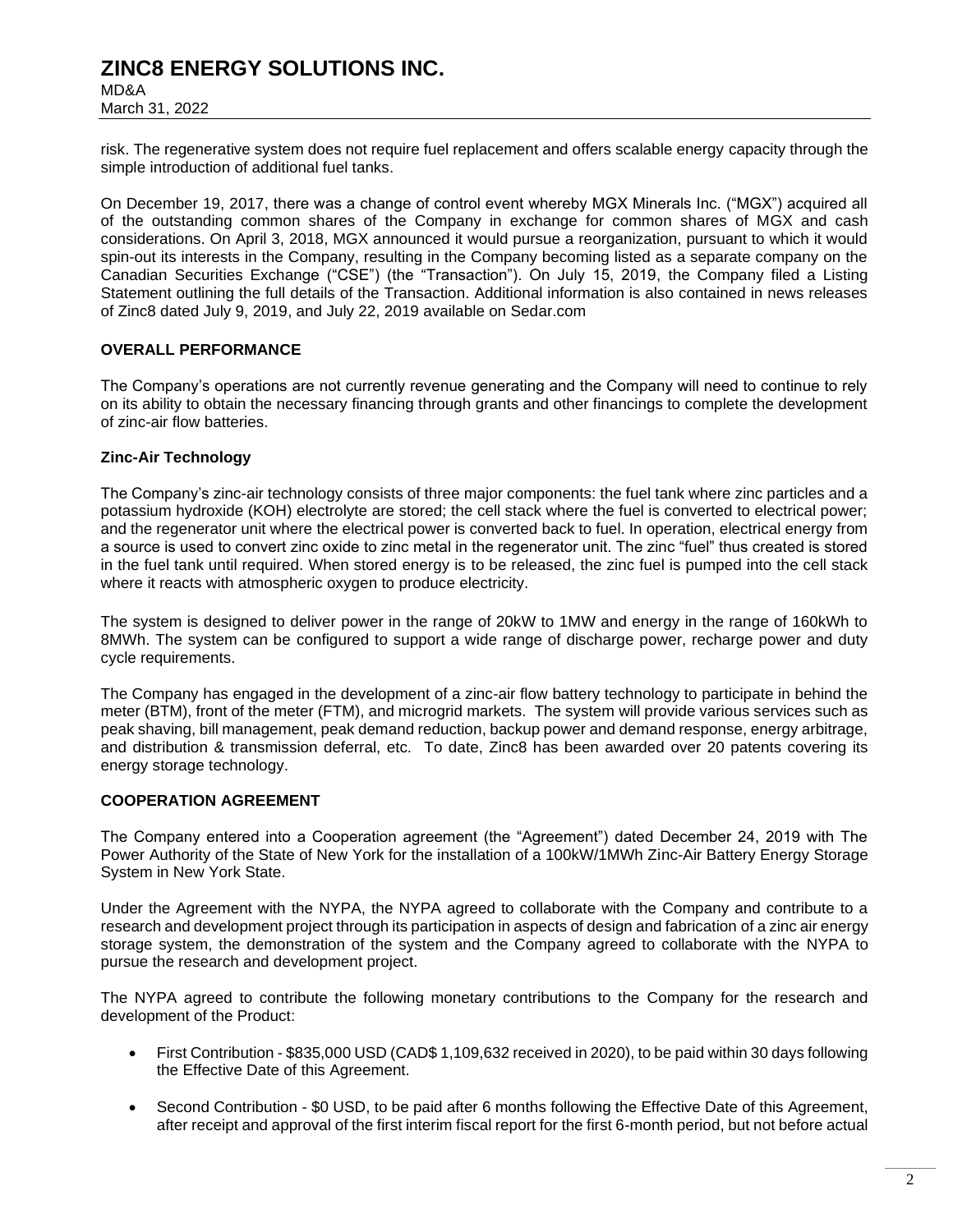MD&A March 31, 2022

risk. The regenerative system does not require fuel replacement and offers scalable energy capacity through the simple introduction of additional fuel tanks.

On December 19, 2017, there was a change of control event whereby MGX Minerals Inc. ("MGX") acquired all of the outstanding common shares of the Company in exchange for common shares of MGX and cash considerations. On April 3, 2018, MGX announced it would pursue a reorganization, pursuant to which it would spin-out its interests in the Company, resulting in the Company becoming listed as a separate company on the Canadian Securities Exchange ("CSE") (the "Transaction"). On July 15, 2019, the Company filed a Listing Statement outlining the full details of the Transaction. Additional information is also contained in news releases of Zinc8 dated July 9, 2019, and July 22, 2019 available on Sedar.com

### **OVERALL PERFORMANCE**

The Company's operations are not currently revenue generating and the Company will need to continue to rely on its ability to obtain the necessary financing through grants and other financings to complete the development of zinc-air flow batteries.

#### **Zinc-Air Technology**

The Company's zinc-air technology consists of three major components: the fuel tank where zinc particles and a potassium hydroxide (KOH) electrolyte are stored; the cell stack where the fuel is converted to electrical power; and the regenerator unit where the electrical power is converted back to fuel. In operation, electrical energy from a source is used to convert zinc oxide to zinc metal in the regenerator unit. The zinc "fuel" thus created is stored in the fuel tank until required. When stored energy is to be released, the zinc fuel is pumped into the cell stack where it reacts with atmospheric oxygen to produce electricity.

The system is designed to deliver power in the range of 20kW to 1MW and energy in the range of 160kWh to 8MWh. The system can be configured to support a wide range of discharge power, recharge power and duty cycle requirements.

The Company has engaged in the development of a zinc-air flow battery technology to participate in behind the meter (BTM), front of the meter (FTM), and microgrid markets. The system will provide various services such as peak shaving, bill management, peak demand reduction, backup power and demand response, energy arbitrage, and distribution & transmission deferral, etc. To date, Zinc8 has been awarded over 20 patents covering its energy storage technology.

#### **COOPERATION AGREEMENT**

The Company entered into a Cooperation agreement (the "Agreement") dated December 24, 2019 with The Power Authority of the State of New York for the installation of a 100kW/1MWh Zinc-Air Battery Energy Storage System in New York State.

Under the Agreement with the NYPA, the NYPA agreed to collaborate with the Company and contribute to a research and development project through its participation in aspects of design and fabrication of a zinc air energy storage system, the demonstration of the system and the Company agreed to collaborate with the NYPA to pursue the research and development project.

The NYPA agreed to contribute the following monetary contributions to the Company for the research and development of the Product:

- First Contribution \$835,000 USD (CAD\$ 1,109,632 received in 2020), to be paid within 30 days following the Effective Date of this Agreement.
- Second Contribution \$0 USD, to be paid after 6 months following the Effective Date of this Agreement, after receipt and approval of the first interim fiscal report for the first 6-month period, but not before actual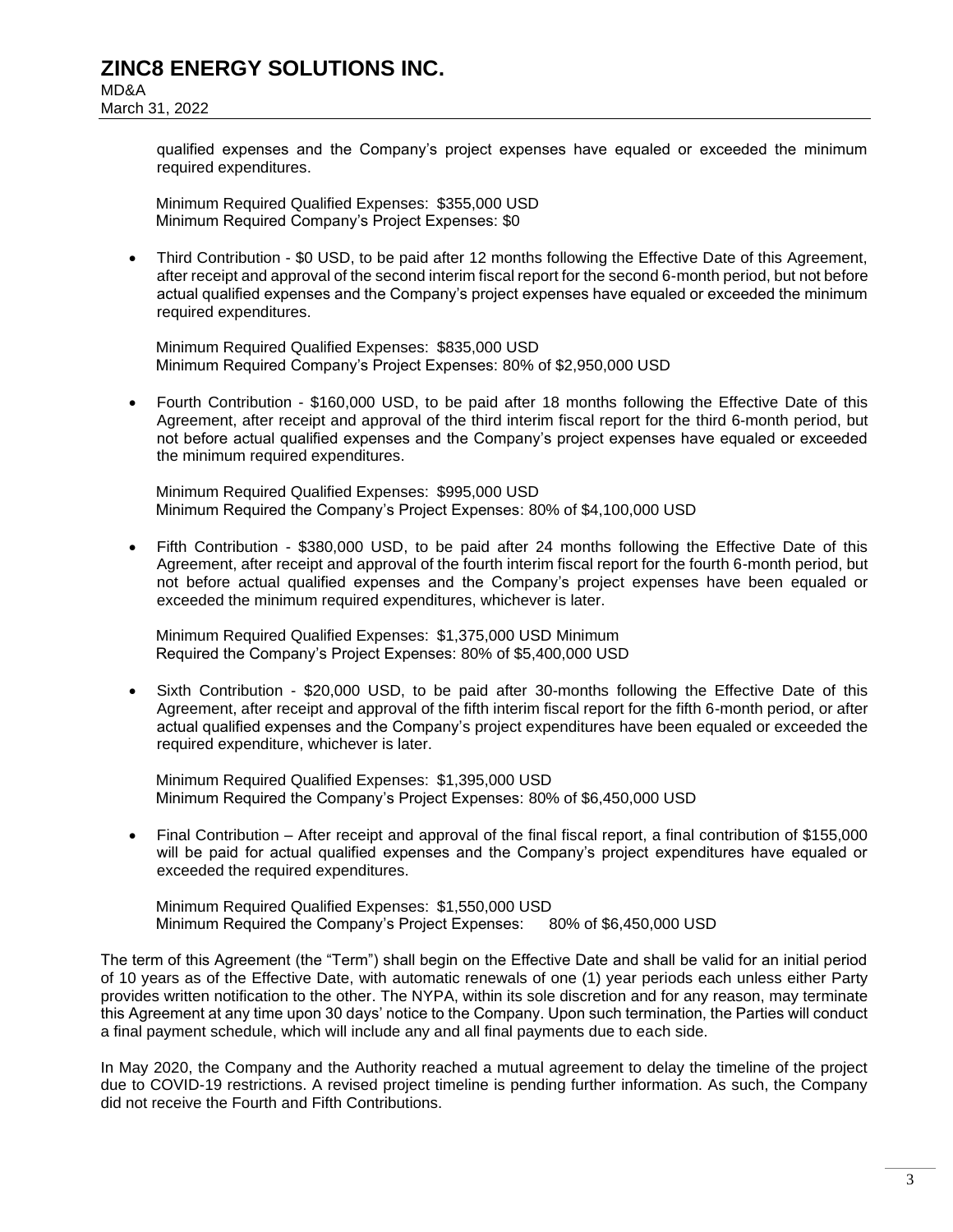March 31, 2022

qualified expenses and the Company's project expenses have equaled or exceeded the minimum required expenditures.

Minimum Required Qualified Expenses: \$355,000 USD Minimum Required Company's Project Expenses: \$0

• Third Contribution - \$0 USD, to be paid after 12 months following the Effective Date of this Agreement, after receipt and approval of the second interim fiscal report for the second 6-month period, but not before actual qualified expenses and the Company's project expenses have equaled or exceeded the minimum required expenditures.

Minimum Required Qualified Expenses: \$835,000 USD Minimum Required Company's Project Expenses: 80% of \$2,950,000 USD

• Fourth Contribution - \$160,000 USD, to be paid after 18 months following the Effective Date of this Agreement, after receipt and approval of the third interim fiscal report for the third 6-month period, but not before actual qualified expenses and the Company's project expenses have equaled or exceeded the minimum required expenditures.

Minimum Required Qualified Expenses: \$995,000 USD Minimum Required the Company's Project Expenses: 80% of \$4,100,000 USD

• Fifth Contribution - \$380,000 USD, to be paid after 24 months following the Effective Date of this Agreement, after receipt and approval of the fourth interim fiscal report for the fourth 6-month period, but not before actual qualified expenses and the Company's project expenses have been equaled or exceeded the minimum required expenditures, whichever is later.

Minimum Required Qualified Expenses: \$1,375,000 USD Minimum Required the Company's Project Expenses: 80% of \$5,400,000 USD

• Sixth Contribution - \$20,000 USD, to be paid after 30-months following the Effective Date of this Agreement, after receipt and approval of the fifth interim fiscal report for the fifth 6-month period, or after actual qualified expenses and the Company's project expenditures have been equaled or exceeded the required expenditure, whichever is later.

Minimum Required Qualified Expenses: \$1,395,000 USD Minimum Required the Company's Project Expenses: 80% of \$6,450,000 USD

• Final Contribution – After receipt and approval of the final fiscal report, a final contribution of \$155,000 will be paid for actual qualified expenses and the Company's project expenditures have equaled or exceeded the required expenditures.

Minimum Required Qualified Expenses: \$1,550,000 USD Minimum Required the Company's Project Expenses: 80% of \$6,450,000 USD

The term of this Agreement (the "Term") shall begin on the Effective Date and shall be valid for an initial period of 10 years as of the Effective Date, with automatic renewals of one (1) year periods each unless either Party provides written notification to the other. The NYPA, within its sole discretion and for any reason, may terminate this Agreement at any time upon 30 days' notice to the Company. Upon such termination, the Parties will conduct a final payment schedule, which will include any and all final payments due to each side.

In May 2020, the Company and the Authority reached a mutual agreement to delay the timeline of the project due to COVID-19 restrictions. A revised project timeline is pending further information. As such, the Company did not receive the Fourth and Fifth Contributions.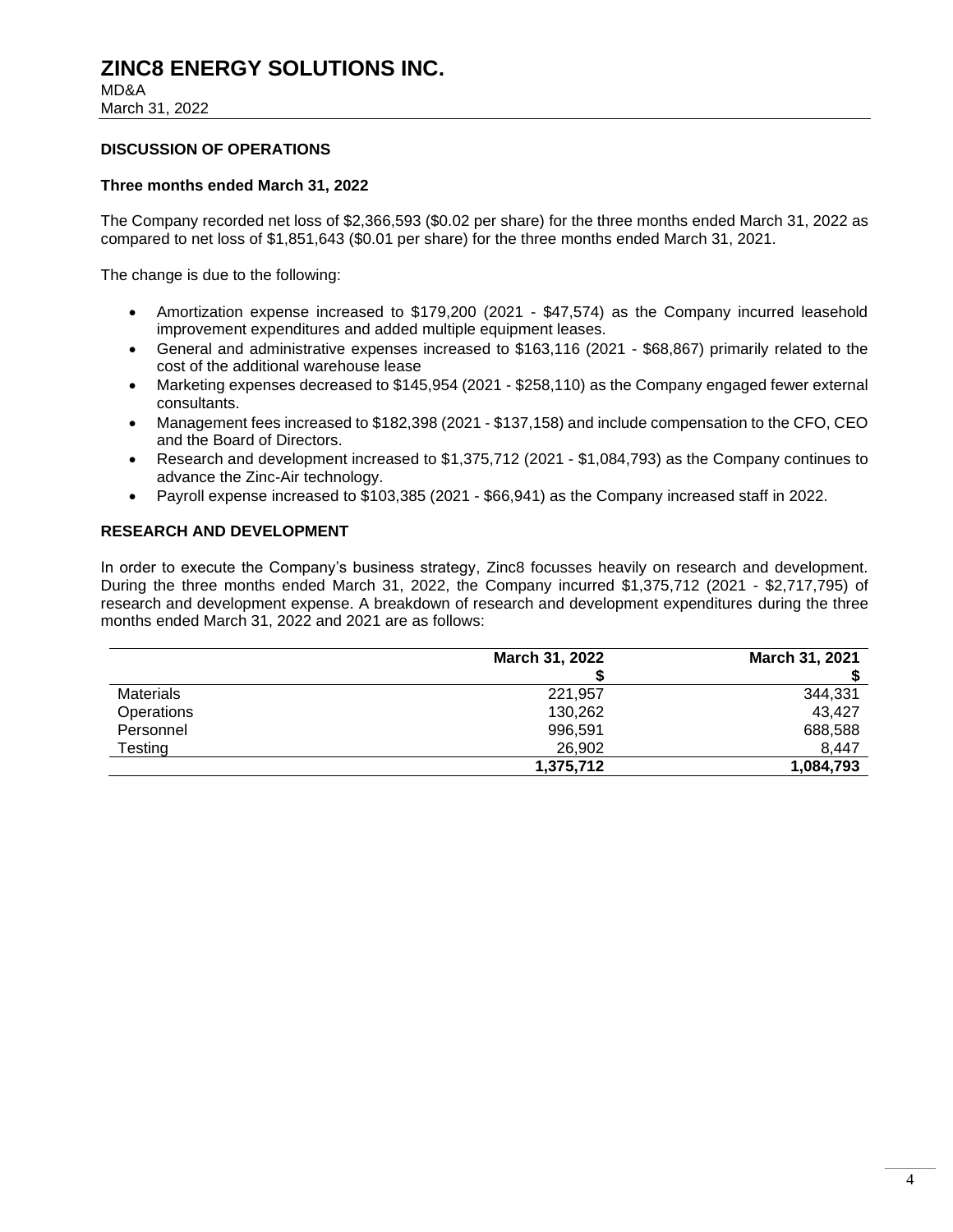MD&A March 31, 2022

#### **DISCUSSION OF OPERATIONS**

#### **Three months ended March 31, 2022**

The Company recorded net loss of \$2,366,593 (\$0.02 per share) for the three months ended March 31, 2022 as compared to net loss of \$1,851,643 (\$0.01 per share) for the three months ended March 31, 2021.

The change is due to the following:

- Amortization expense increased to \$179,200 (2021 \$47,574) as the Company incurred leasehold improvement expenditures and added multiple equipment leases.
- General and administrative expenses increased to \$163,116 (2021 \$68,867) primarily related to the cost of the additional warehouse lease
- Marketing expenses decreased to \$145,954 (2021 \$258,110) as the Company engaged fewer external consultants.
- Management fees increased to \$182,398 (2021 \$137,158) and include compensation to the CFO, CEO and the Board of Directors.
- Research and development increased to \$1,375,712 (2021 \$1,084,793) as the Company continues to advance the Zinc-Air technology.
- Payroll expense increased to \$103,385 (2021 \$66,941) as the Company increased staff in 2022.

#### **RESEARCH AND DEVELOPMENT**

In order to execute the Company's business strategy, Zinc8 focusses heavily on research and development. During the three months ended March 31, 2022, the Company incurred \$1,375,712 (2021 - \$2,717,795) of research and development expense. A breakdown of research and development expenditures during the three months ended March 31, 2022 and 2021 are as follows:

|                  | <b>March 31, 2022</b> | March 31, 2021 |
|------------------|-----------------------|----------------|
|                  |                       |                |
| <b>Materials</b> | 221,957               | 344,331        |
| Operations       | 130,262               | 43,427         |
| Personnel        | 996,591               | 688,588        |
| Testing          | 26,902                | 8,447          |
|                  | 1,375,712             | 1,084,793      |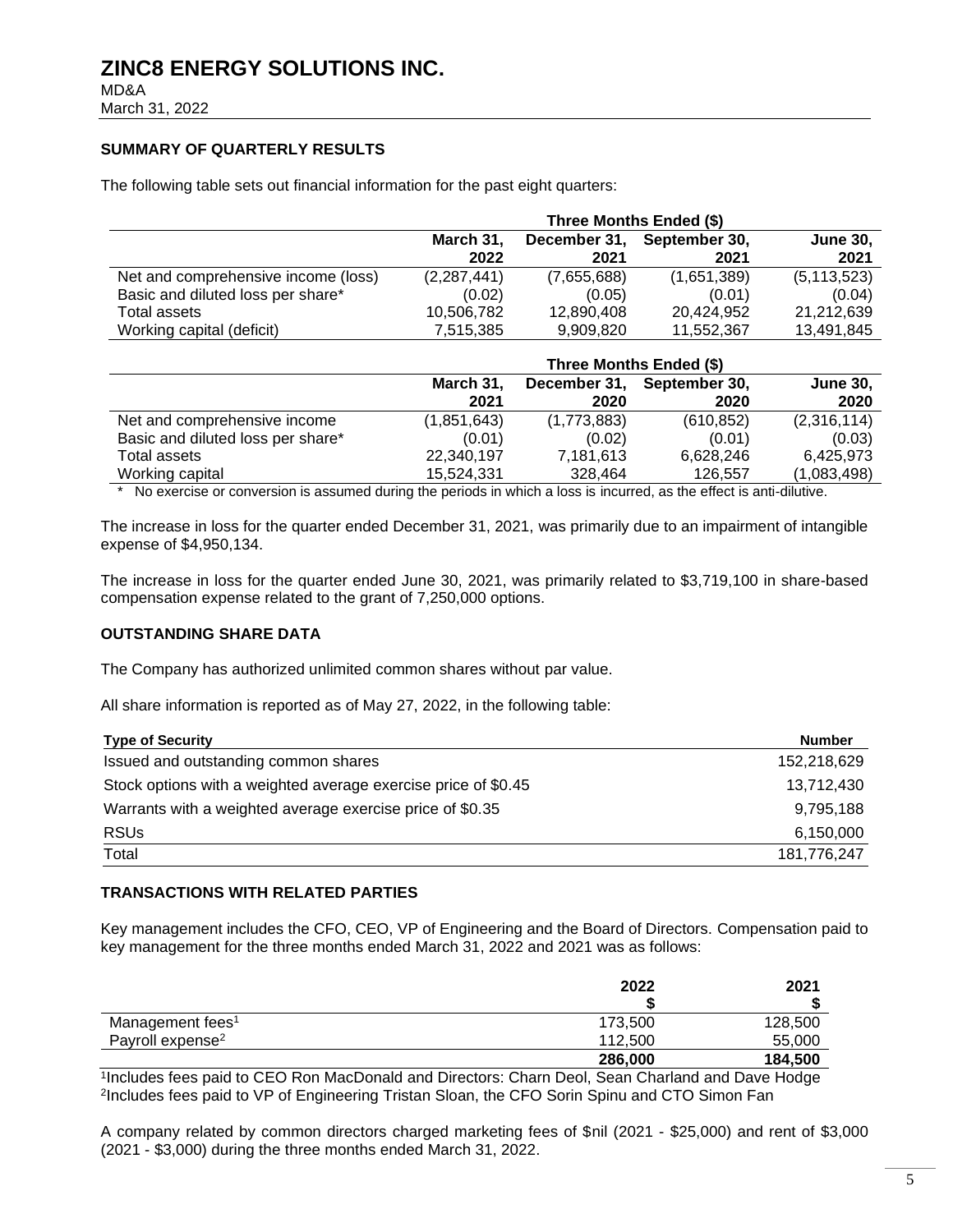MD&A March 31, 2022

### **SUMMARY OF QUARTERLY RESULTS**

The following table sets out financial information for the past eight quarters:

|                                     | Three Months Ended (\$) |                      |                       |                         |
|-------------------------------------|-------------------------|----------------------|-----------------------|-------------------------|
|                                     | March 31,<br>2022       | December 31,<br>2021 | September 30,<br>2021 | <b>June 30,</b><br>2021 |
| Net and comprehensive income (loss) | (2,287,441)             | (7,655,688)          | (1,651,389)           | (5, 113, 523)           |
| Basic and diluted loss per share*   | (0.02)                  | (0.05)               | (0.01)                | (0.04)                  |
| Total assets                        | 10,506,782              | 12,890,408           | 20.424.952            | 21,212,639              |
| Working capital (deficit)           | 7,515,385               | 9,909,820            | 11,552,367            | 13,491,845              |

|                                   | Three Months Ended (\$) |                      |                       |                         |
|-----------------------------------|-------------------------|----------------------|-----------------------|-------------------------|
|                                   | March 31,<br>2021       | December 31,<br>2020 | September 30,<br>2020 | <b>June 30,</b><br>2020 |
| Net and comprehensive income      | (1,851,643)             | (1,773,883)          | (610, 852)            | (2,316,114)             |
| Basic and diluted loss per share* | (0.01)                  | (0.02)               | (0.01)                | (0.03)                  |
| Total assets                      | 22,340,197              | 7,181,613            | 6,628,246             | 6,425,973               |
| Working capital                   | 15,524,331              | 328,464              | 126,557               | (1,083,498)             |

\* No exercise or conversion is assumed during the periods in which a loss is incurred, as the effect is anti-dilutive.

The increase in loss for the quarter ended December 31, 2021, was primarily due to an impairment of intangible expense of \$4,950,134.

The increase in loss for the quarter ended June 30, 2021, was primarily related to \$3,719,100 in share-based compensation expense related to the grant of 7,250,000 options.

#### **OUTSTANDING SHARE DATA**

The Company has authorized unlimited common shares without par value.

All share information is reported as of May 27, 2022, in the following table:

| <b>Type of Security</b>                                        | <b>Number</b> |
|----------------------------------------------------------------|---------------|
| Issued and outstanding common shares                           | 152,218,629   |
| Stock options with a weighted average exercise price of \$0.45 | 13,712,430    |
| Warrants with a weighted average exercise price of \$0.35      | 9,795,188     |
| <b>RSUs</b>                                                    | 6,150,000     |
| Total                                                          | 181,776,247   |

#### **TRANSACTIONS WITH RELATED PARTIES**

Key management includes the CFO, CEO, VP of Engineering and the Board of Directors. Compensation paid to key management for the three months ended March 31, 2022 and 2021 was as follows:

|                              | 2022    | 2021    |  |
|------------------------------|---------|---------|--|
|                              |         |         |  |
| Management fees <sup>1</sup> | 173,500 | 128,500 |  |
| Payroll expense <sup>2</sup> | 112,500 | 55,000  |  |
|                              | 286,000 | 184,500 |  |

1 Includes fees paid to CEO Ron MacDonald and Directors: Charn Deol, Sean Charland and Dave Hodge 2 Includes fees paid to VP of Engineering Tristan Sloan, the CFO Sorin Spinu and CTO Simon Fan

A company related by common directors charged marketing fees of \$nil (2021 - \$25,000) and rent of \$3,000 (2021 - \$3,000) during the three months ended March 31, 2022.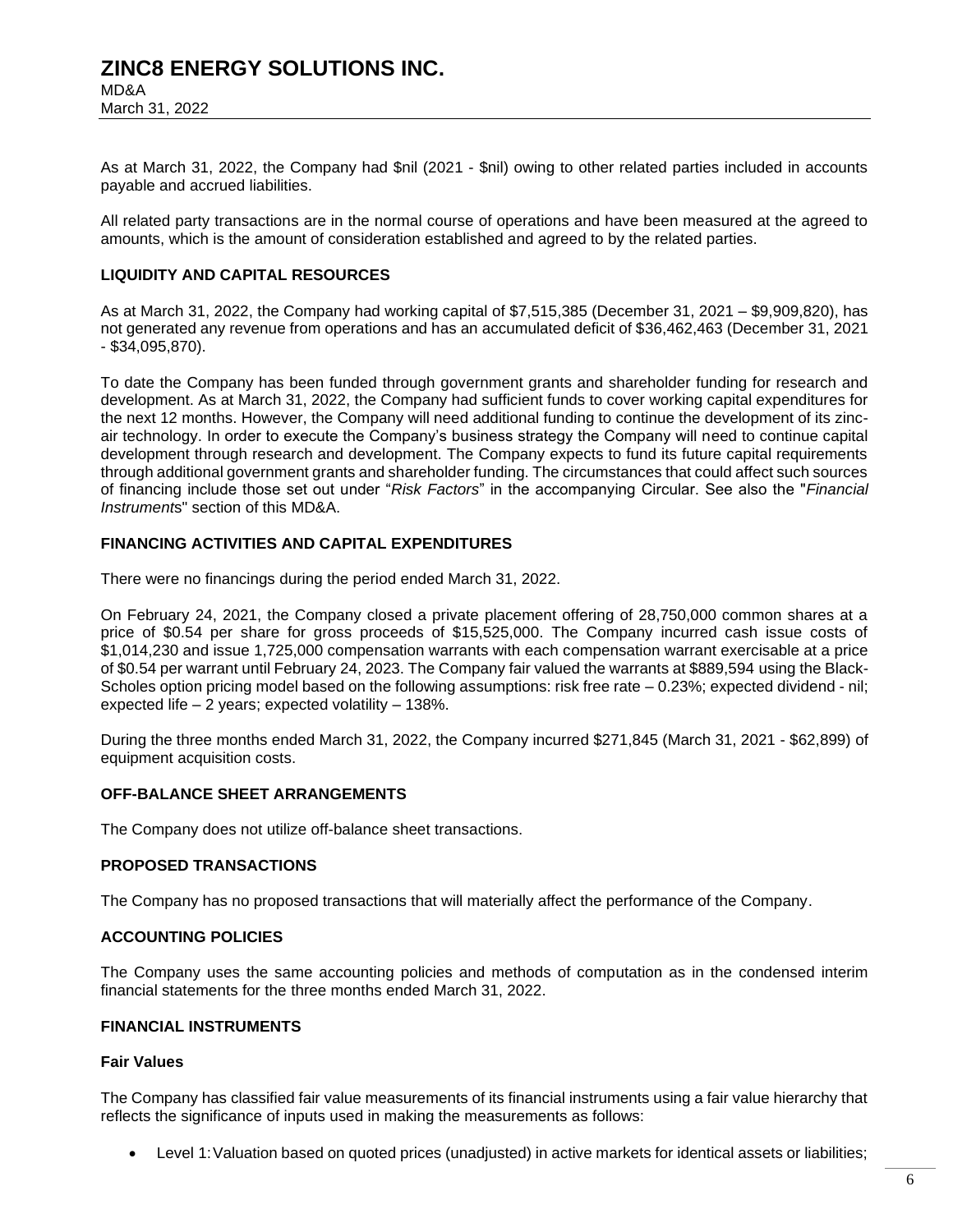MD&A March 31, 2022

As at March 31, 2022, the Company had \$nil (2021 - \$nil) owing to other related parties included in accounts payable and accrued liabilities.

All related party transactions are in the normal course of operations and have been measured at the agreed to amounts, which is the amount of consideration established and agreed to by the related parties.

### **LIQUIDITY AND CAPITAL RESOURCES**

As at March 31, 2022, the Company had working capital of \$7,515,385 (December 31, 2021 – \$9,909,820), has not generated any revenue from operations and has an accumulated deficit of \$36,462,463 (December 31, 2021 - \$34,095,870).

To date the Company has been funded through government grants and shareholder funding for research and development. As at March 31, 2022, the Company had sufficient funds to cover working capital expenditures for the next 12 months. However, the Company will need additional funding to continue the development of its zincair technology. In order to execute the Company's business strategy the Company will need to continue capital development through research and development. The Company expects to fund its future capital requirements through additional government grants and shareholder funding. The circumstances that could affect such sources of financing include those set out under "*Risk Factors*" in the accompanying Circular. See also the "*Financial Instrument*s" section of this MD&A.

#### **FINANCING ACTIVITIES AND CAPITAL EXPENDITURES**

There were no financings during the period ended March 31, 2022.

On February 24, 2021, the Company closed a private placement offering of 28,750,000 common shares at a price of \$0.54 per share for gross proceeds of \$15,525,000. The Company incurred cash issue costs of \$1,014,230 and issue 1,725,000 compensation warrants with each compensation warrant exercisable at a price of \$0.54 per warrant until February 24, 2023. The Company fair valued the warrants at \$889,594 using the Black-Scholes option pricing model based on the following assumptions: risk free rate – 0.23%; expected dividend - nil; expected life – 2 years; expected volatility – 138%.

During the three months ended March 31, 2022, the Company incurred \$271,845 (March 31, 2021 - \$62,899) of equipment acquisition costs.

#### **OFF-BALANCE SHEET ARRANGEMENTS**

The Company does not utilize off-balance sheet transactions.

#### **PROPOSED TRANSACTIONS**

The Company has no proposed transactions that will materially affect the performance of the Company.

#### **ACCOUNTING POLICIES**

The Company uses the same accounting policies and methods of computation as in the condensed interim financial statements for the three months ended March 31, 2022.

#### **FINANCIAL INSTRUMENTS**

### **Fair Values**

The Company has classified fair value measurements of its financial instruments using a fair value hierarchy that reflects the significance of inputs used in making the measurements as follows:

• Level 1:Valuation based on quoted prices (unadjusted) in active markets for identical assets or liabilities;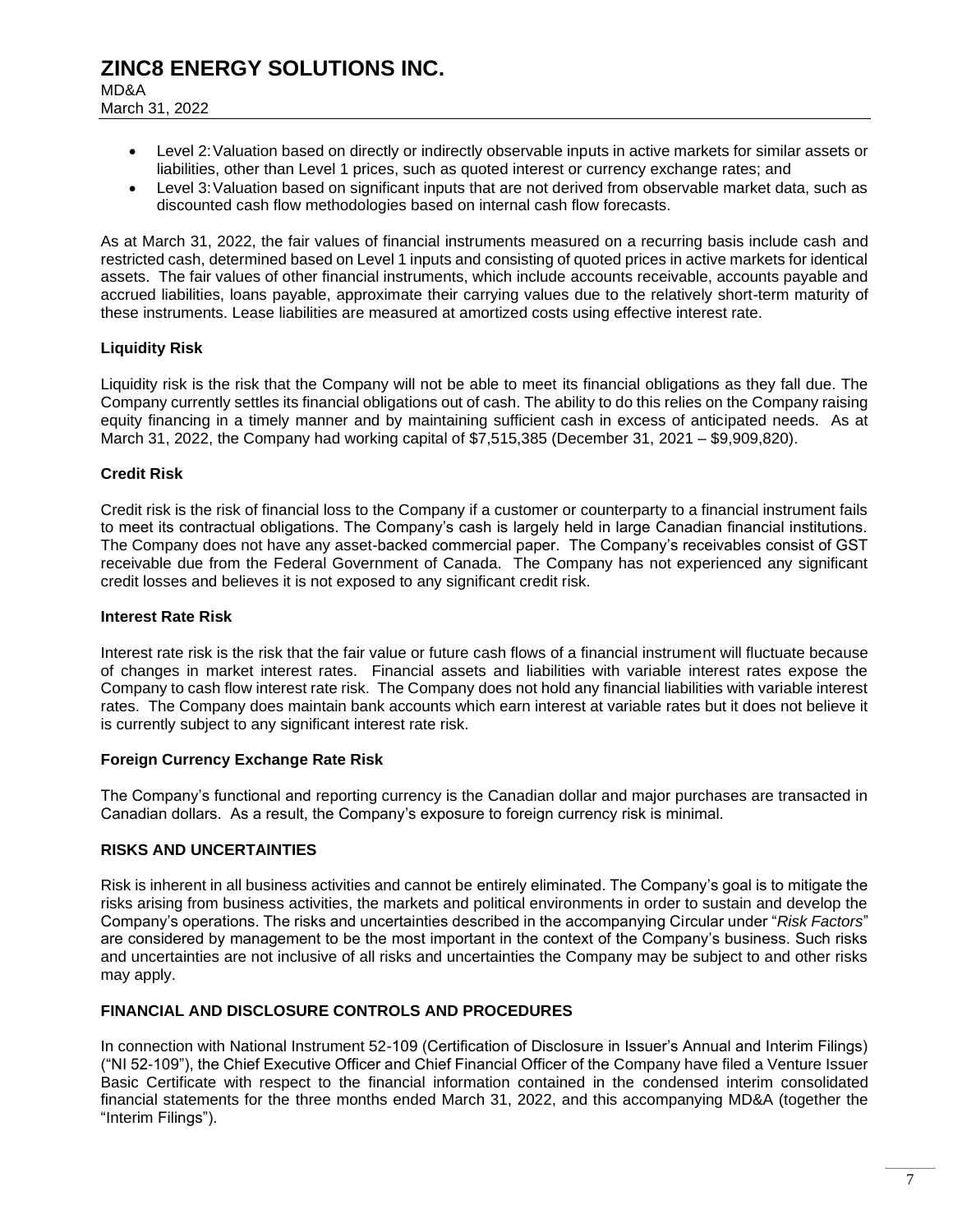MD&A March 31, 2022

- Level 2:Valuation based on directly or indirectly observable inputs in active markets for similar assets or liabilities, other than Level 1 prices, such as quoted interest or currency exchange rates; and
- Level 3: Valuation based on significant inputs that are not derived from observable market data, such as discounted cash flow methodologies based on internal cash flow forecasts.

As at March 31, 2022, the fair values of financial instruments measured on a recurring basis include cash and restricted cash, determined based on Level 1 inputs and consisting of quoted prices in active markets for identical assets. The fair values of other financial instruments, which include accounts receivable, accounts payable and accrued liabilities, loans payable, approximate their carrying values due to the relatively short-term maturity of these instruments. Lease liabilities are measured at amortized costs using effective interest rate.

### **Liquidity Risk**

Liquidity risk is the risk that the Company will not be able to meet its financial obligations as they fall due. The Company currently settles its financial obligations out of cash. The ability to do this relies on the Company raising equity financing in a timely manner and by maintaining sufficient cash in excess of anticipated needs. As at March 31, 2022, the Company had working capital of \$7,515,385 (December 31, 2021 – \$9,909,820).

### **Credit Risk**

Credit risk is the risk of financial loss to the Company if a customer or counterparty to a financial instrument fails to meet its contractual obligations. The Company's cash is largely held in large Canadian financial institutions. The Company does not have any asset-backed commercial paper. The Company's receivables consist of GST receivable due from the Federal Government of Canada. The Company has not experienced any significant credit losses and believes it is not exposed to any significant credit risk.

#### **Interest Rate Risk**

Interest rate risk is the risk that the fair value or future cash flows of a financial instrument will fluctuate because of changes in market interest rates. Financial assets and liabilities with variable interest rates expose the Company to cash flow interest rate risk. The Company does not hold any financial liabilities with variable interest rates. The Company does maintain bank accounts which earn interest at variable rates but it does not believe it is currently subject to any significant interest rate risk.

#### **Foreign Currency Exchange Rate Risk**

The Company's functional and reporting currency is the Canadian dollar and major purchases are transacted in Canadian dollars. As a result, the Company's exposure to foreign currency risk is minimal.

#### **RISKS AND UNCERTAINTIES**

Risk is inherent in all business activities and cannot be entirely eliminated. The Company's goal is to mitigate the risks arising from business activities, the markets and political environments in order to sustain and develop the Company's operations. The risks and uncertainties described in the accompanying Circular under "*Risk Factors*" are considered by management to be the most important in the context of the Company's business. Such risks and uncertainties are not inclusive of all risks and uncertainties the Company may be subject to and other risks may apply.

#### **FINANCIAL AND DISCLOSURE CONTROLS AND PROCEDURES**

In connection with National Instrument 52-109 (Certification of Disclosure in Issuer's Annual and Interim Filings) ("NI 52-109"), the Chief Executive Officer and Chief Financial Officer of the Company have filed a Venture Issuer Basic Certificate with respect to the financial information contained in the condensed interim consolidated financial statements for the three months ended March 31, 2022, and this accompanying MD&A (together the "Interim Filings").